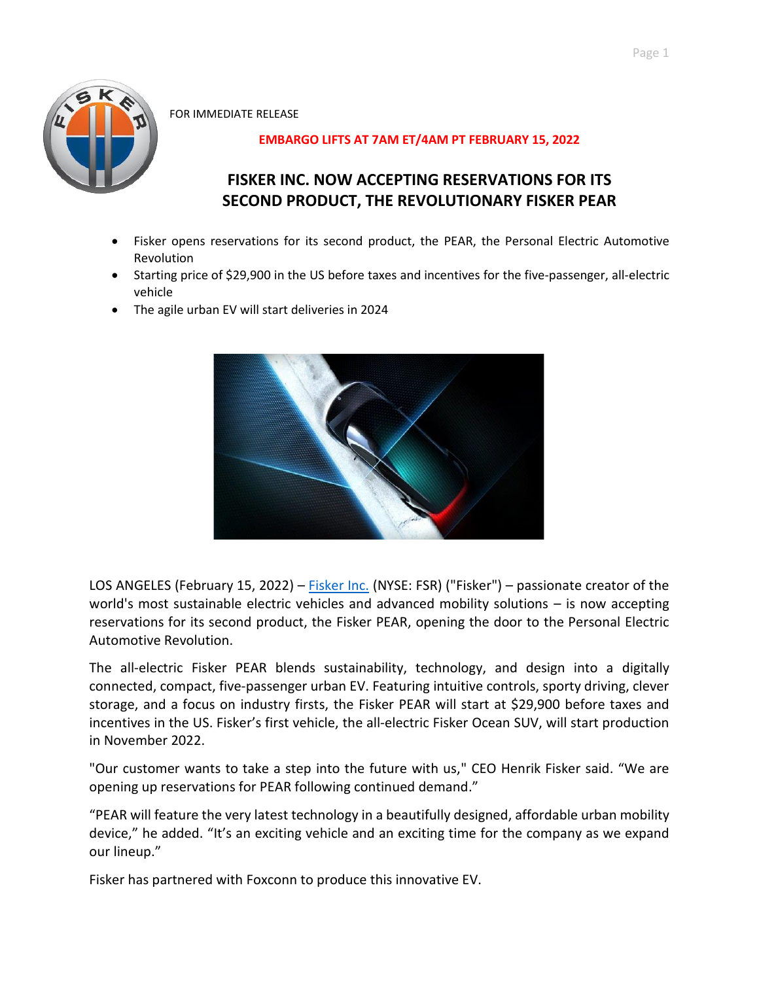

FOR IMMEDIATE RELEASE

# **EMBARGO LIFTS AT 7AM ET/4AM PT FEBRUARY 15, 2022**

# **FISKER INC. NOW ACCEPTING RESERVATIONS FOR ITS SECOND PRODUCT, THE REVOLUTIONARY FISKER PEAR**

- Fisker opens reservations for its second product, the PEAR, the Personal Electric Automotive Revolution
- Starting price of \$29,900 in the US before taxes and incentives for the five-passenger, all-electric vehicle
- The agile urban EV will start deliveries in 2024



LOS ANGELES (February 15, 2022) – **[Fisker Inc.](https://www.fiskerinc.com/)** (NYSE: FSR) ("Fisker") – passionate creator of the world's most sustainable electric vehicles and advanced mobility solutions – is now accepting reservations for its second product, the Fisker PEAR, opening the door to the Personal Electric Automotive Revolution.

The all-electric Fisker PEAR blends sustainability, technology, and design into a digitally connected, compact, five-passenger urban EV. Featuring intuitive controls, sporty driving, clever storage, and a focus on industry firsts, the Fisker PEAR will start at \$29,900 before taxes and incentives in the US. Fisker's first vehicle, the all-electric Fisker Ocean SUV, will start production in November 2022.

"Our customer wants to take a step into the future with us," CEO Henrik Fisker said. "We are opening up reservations for PEAR following continued demand."

"PEAR will feature the very latest technology in a beautifully designed, affordable urban mobility device," he added. "It's an exciting vehicle and an exciting time for the company as we expand our lineup."

Fisker has partnered with Foxconn to produce this innovative EV.